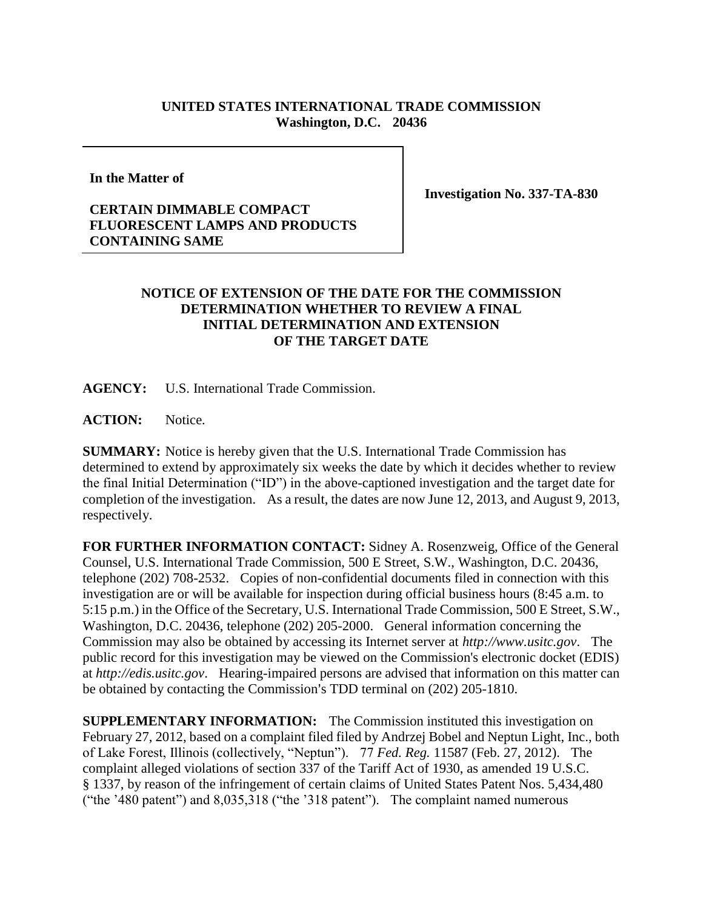## **UNITED STATES INTERNATIONAL TRADE COMMISSION Washington, D.C. 20436**

**In the Matter of**

**CERTAIN DIMMABLE COMPACT FLUORESCENT LAMPS AND PRODUCTS CONTAINING SAME**

**Investigation No. 337-TA-830**

## **NOTICE OF EXTENSION OF THE DATE FOR THE COMMISSION DETERMINATION WHETHER TO REVIEW A FINAL INITIAL DETERMINATION AND EXTENSION OF THE TARGET DATE**

**AGENCY:** U.S. International Trade Commission.

**ACTION:** Notice.

**SUMMARY:** Notice is hereby given that the U.S. International Trade Commission has determined to extend by approximately six weeks the date by which it decides whether to review the final Initial Determination ("ID") in the above-captioned investigation and the target date for completion of the investigation. As a result, the dates are now June 12, 2013, and August 9, 2013, respectively.

**FOR FURTHER INFORMATION CONTACT:** Sidney A. Rosenzweig, Office of the General Counsel, U.S. International Trade Commission, 500 E Street, S.W., Washington, D.C. 20436, telephone (202) 708-2532. Copies of non-confidential documents filed in connection with this investigation are or will be available for inspection during official business hours (8:45 a.m. to 5:15 p.m.) in the Office of the Secretary, U.S. International Trade Commission, 500 E Street, S.W., Washington, D.C. 20436, telephone (202) 205-2000. General information concerning the Commission may also be obtained by accessing its Internet server at *http://www.usitc.gov*. The public record for this investigation may be viewed on the Commission's electronic docket (EDIS) at *http://edis.usitc.gov*. Hearing-impaired persons are advised that information on this matter can be obtained by contacting the Commission's TDD terminal on (202) 205-1810.

**SUPPLEMENTARY INFORMATION:** The Commission instituted this investigation on February 27, 2012, based on a complaint filed filed by Andrzej Bobel and Neptun Light, Inc., both of Lake Forest, Illinois (collectively, "Neptun"). 77 *Fed. Reg.* 11587 (Feb. 27, 2012). The complaint alleged violations of section 337 of the Tariff Act of 1930, as amended 19 U.S.C. § 1337, by reason of the infringement of certain claims of United States Patent Nos. 5,434,480 ("the '480 patent") and 8,035,318 ("the '318 patent"). The complaint named numerous